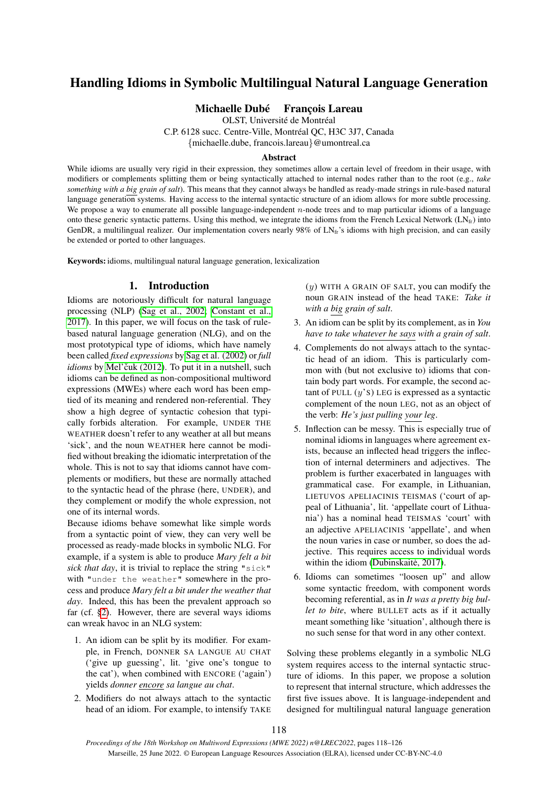# Handling Idioms in Symbolic Multilingual Natural Language Generation

# Michaelle Dubé François Lareau

OLST, Université de Montréal

C.P. 6128 succ. Centre-Ville, Montréal QC, H3C 3J7, Canada

{michaelle.dube, francois.lareau}@umontreal.ca

#### Abstract

While idioms are usually very rigid in their expression, they sometimes allow a certain level of freedom in their usage, with modifiers or complements splitting them or being syntactically attached to internal nodes rather than to the root (e.g., *take something with a big grain of salt*). This means that they cannot always be handled as ready-made strings in rule-based natural language generation systems. Having access to the internal syntactic structure of an idiom allows for more subtle processing. We propose a way to enumerate all possible language-independent  $n$ -node trees and to map particular idioms of a language onto these generic syntactic patterns. Using this method, we integrate the idioms from the French Lexical Network ( $LN<sub>fr</sub>$ ) into GenDR, a multilingual realizer. Our implementation covers nearly  $98\%$  of LN<sub>fr</sub>'s idioms with high precision, and can easily be extended or ported to other languages.

Keywords: idioms, multilingual natural language generation, lexicalization

# 1. Introduction

<span id="page-0-0"></span>Idioms are notoriously difficult for natural language processing (NLP) [\(Sag et al., 2002;](#page-8-0) [Constant et al.,](#page-7-0) [2017\)](#page-7-0). In this paper, we will focus on the task of rulebased natural language generation (NLG), and on the most prototypical type of idioms, which have namely been called *fixed expressions* by [Sag et al. \(2002\)](#page-8-0) or *full idioms* by Mel'čuk (2012). To put it in a nutshell, such idioms can be defined as non-compositional multiword expressions (MWEs) where each word has been emptied of its meaning and rendered non-referential. They show a high degree of syntactic cohesion that typically forbids alteration. For example, UNDER THE WEATHER doesn't refer to any weather at all but means 'sick', and the noun WEATHER here cannot be modified without breaking the idiomatic interpretation of the whole. This is not to say that idioms cannot have complements or modifiers, but these are normally attached to the syntactic head of the phrase (here, UNDER), and they complement or modify the whole expression, not one of its internal words.

Because idioms behave somewhat like simple words from a syntactic point of view, they can very well be processed as ready-made blocks in symbolic NLG. For example, if a system is able to produce *Mary felt a bit sick that day*, it is trivial to replace the string "sick" with "under the weather" somewhere in the process and produce *Mary felt a bit under the weather that day*. Indeed, this has been the prevalent approach so far (cf. [§2\)](#page-1-0). However, there are several ways idioms can wreak havoc in an NLG system:

- 1. An idiom can be split by its modifier. For example, in French, DONNER SA LANGUE AU CHAT ('give up guessing', lit. 'give one's tongue to the cat'), when combined with ENCORE ('again') yields *donner encore sa langue au chat*.
- 2. Modifiers do not always attach to the syntactic head of an idiom. For example, to intensify TAKE

 $(y)$  WITH A GRAIN OF SALT, you can modify the noun GRAIN instead of the head TAKE: *Take it with a big grain of salt*.

- 3. An idiom can be split by its complement, as in *You have to take whatever he says with a grain of salt*.
- 4. Complements do not always attach to the syntactic head of an idiom. This is particularly common with (but not exclusive to) idioms that contain body part words. For example, the second actant of PULL  $(y's)$  LEG is expressed as a syntactic complement of the noun LEG, not as an object of the verb: *He's just pulling your leg*.
- 5. Inflection can be messy. This is especially true of nominal idioms in languages where agreement exists, because an inflected head triggers the inflection of internal determiners and adjectives. The problem is further exacerbated in languages with grammatical case. For example, in Lithuanian, LIETUVOS APELIACINIS TEISMAS ('court of appeal of Lithuania', lit. 'appellate court of Lithuania') has a nominal head TEISMAS 'court' with an adjective APELIACINIS 'appellate', and when the noun varies in case or number, so does the adjective. This requires access to individual words within the idiom (Dubinskaitė, 2017).
- 6. Idioms can sometimes "loosen up" and allow some syntactic freedom, with component words becoming referential, as in *It was a pretty big bullet to bite*, where BULLET acts as if it actually meant something like 'situation', although there is no such sense for that word in any other context.

Solving these problems elegantly in a symbolic NLG system requires access to the internal syntactic structure of idioms. In this paper, we propose a solution to represent that internal structure, which addresses the first five issues above. It is language-independent and designed for multilingual natural language generation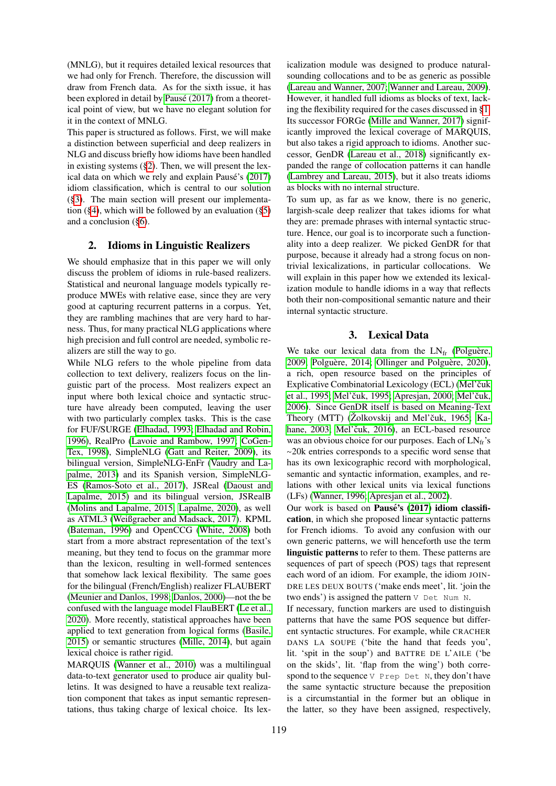(MNLG), but it requires detailed lexical resources that we had only for French. Therefore, the discussion will draw from French data. As for the sixth issue, it has been explored in detail by Pausé (2017) from a theoretical point of view, but we have no elegant solution for it in the context of MNLG.

This paper is structured as follows. First, we will make a distinction between superficial and deep realizers in NLG and discuss briefly how idioms have been handled in existing systems ([§2\)](#page-1-0). Then, we will present the lex-ical data on which we rely and explain Pausé's [\(2017\)](#page-8-2) idiom classification, which is central to our solution ([§3\)](#page-1-1). The main section will present our implementation ([§4\)](#page-2-0), which will be followed by an evaluation ([§5\)](#page-4-0) and a conclusion ([§6\)](#page-6-0).

### <span id="page-1-0"></span>2. Idioms in Linguistic Realizers

We should emphasize that in this paper we will only discuss the problem of idioms in rule-based realizers. Statistical and neuronal language models typically reproduce MWEs with relative ease, since they are very good at capturing recurrent patterns in a corpus. Yet, they are rambling machines that are very hard to harness. Thus, for many practical NLG applications where high precision and full control are needed, symbolic realizers are still the way to go.

While NLG refers to the whole pipeline from data collection to text delivery, realizers focus on the linguistic part of the process. Most realizers expect an input where both lexical choice and syntactic structure have already been computed, leaving the user with two particularly complex tasks. This is the case for FUF/SURGE [\(Elhadad, 1993;](#page-7-2) [Elhadad and Robin,](#page-7-3) [1996\)](#page-7-3), RealPro [\(Lavoie and Rambow, 1997;](#page-8-3) [CoGen-](#page-7-4)[Tex, 1998\)](#page-7-4), SimpleNLG [\(Gatt and Reiter, 2009\)](#page-7-5), its bilingual version, SimpleNLG-EnFr [\(Vaudry and La](#page-8-4)[palme, 2013\)](#page-8-4) and its Spanish version, SimpleNLG-ES [\(Ramos-Soto et al., 2017\)](#page-8-5), JSReal [\(Daoust and](#page-7-6) [Lapalme, 2015\)](#page-7-6) and its bilingual version, JSRealB [\(Molins and Lapalme, 2015;](#page-8-6) [Lapalme, 2020\)](#page-7-7), as well as ATML3 [\(Weißgraeber and Madsack, 2017\)](#page-8-7). KPML [\(Bateman, 1996\)](#page-7-8) and OpenCCG [\(White, 2008\)](#page-8-8) both start from a more abstract representation of the text's meaning, but they tend to focus on the grammar more than the lexicon, resulting in well-formed sentences that somehow lack lexical flexibility. The same goes for the bilingual (French/English) realizer FLAUBERT [\(Meunier and Danlos, 1998;](#page-8-9) [Danlos, 2000\)](#page-7-9)—not the be confused with the language model FlauBERT [\(Le et al.,](#page-8-10) [2020\)](#page-8-10). More recently, statistical approaches have been applied to text generation from logical forms [\(Basile,](#page-7-10) [2015\)](#page-7-10) or semantic structures [\(Mille, 2014\)](#page-8-11), but again lexical choice is rather rigid.

MARQUIS [\(Wanner et al., 2010\)](#page-8-12) was a multilingual data-to-text generator used to produce air quality bulletins. It was designed to have a reusable text realization component that takes as input semantic representations, thus taking charge of lexical choice. Its lexicalization module was designed to produce naturalsounding collocations and to be as generic as possible [\(Lareau and Wanner, 2007;](#page-8-13) [Wanner and Lareau, 2009\)](#page-8-14). However, it handled full idioms as blocks of text, lacking the flexibility required for the cases discussed in [§1.](#page-0-0) Its successor FORGe [\(Mille and Wanner, 2017\)](#page-8-15) significantly improved the lexical coverage of MARQUIS, but also takes a rigid approach to idioms. Another successor, GenDR [\(Lareau et al., 2018\)](#page-8-16) significantly expanded the range of collocation patterns it can handle [\(Lambrey and Lareau, 2015\)](#page-7-11), but it also treats idioms as blocks with no internal structure.

To sum up, as far as we know, there is no generic, largish-scale deep realizer that takes idioms for what they are: premade phrases with internal syntactic structure. Hence, our goal is to incorporate such a functionality into a deep realizer. We picked GenDR for that purpose, because it already had a strong focus on nontrivial lexicalizations, in particular collocations. We will explain in this paper how we extended its lexicalization module to handle idioms in a way that reflects both their non-compositional semantic nature and their internal syntactic structure.

# 3. Lexical Data

<span id="page-1-1"></span>We take our lexical data from the  $LN_{fr}$  (Polguère, [2009;](#page-8-17) Polguère, 2014; [Ollinger and Polgu](#page-8-19)ère, 2020), a rich, open resource based on the principles of Explicative Combinatorial Lexicology (ECL) (Mel'čuk [et al., 1995;](#page-8-20) Mel'čuk, 1995; [Apresjan, 2000;](#page-7-12) [Mel'](#page-8-22)čuk, [2006\)](#page-8-22). Since GenDR itself is based on Meaning-Text Theory (MTT) (Žolkovskij and Mel'čuk, 1965; [Ka](#page-7-13) [hane, 2003;](#page-7-13) Mel'čuk, 2016), an ECL-based resource was an obvious choice for our purposes. Each of  $LN<sub>fr</sub>$ 's ∼20k entries corresponds to a specific word sense that has its own lexicographic record with morphological, semantic and syntactic information, examples, and relations with other lexical units via lexical functions (LFs) [\(Wanner, 1996;](#page-8-25) [Apresjan et al., 2002\)](#page-7-14).

Our work is based on Pausé's [\(2017\)](#page-8-2) idiom classification, in which she proposed linear syntactic patterns for French idioms. To avoid any confusion with our own generic patterns, we will henceforth use the term linguistic patterns to refer to them. These patterns are sequences of part of speech (POS) tags that represent each word of an idiom. For example, the idiom JOIN-DRE LES DEUX BOUTS ('make ends meet', lit. 'join the two ends') is assigned the pattern V Det Num N.

If necessary, function markers are used to distinguish patterns that have the same POS sequence but different syntactic structures. For example, while CRACHER DANS LA SOUPE ('bite the hand that feeds you', lit. 'spit in the soup') and BATTRE DE L'AILE ('be on the skids', lit. 'flap from the wing') both correspond to the sequence V Prep Det N, they don't have the same syntactic structure because the preposition is a circumstantial in the former but an oblique in the latter, so they have been assigned, respectively,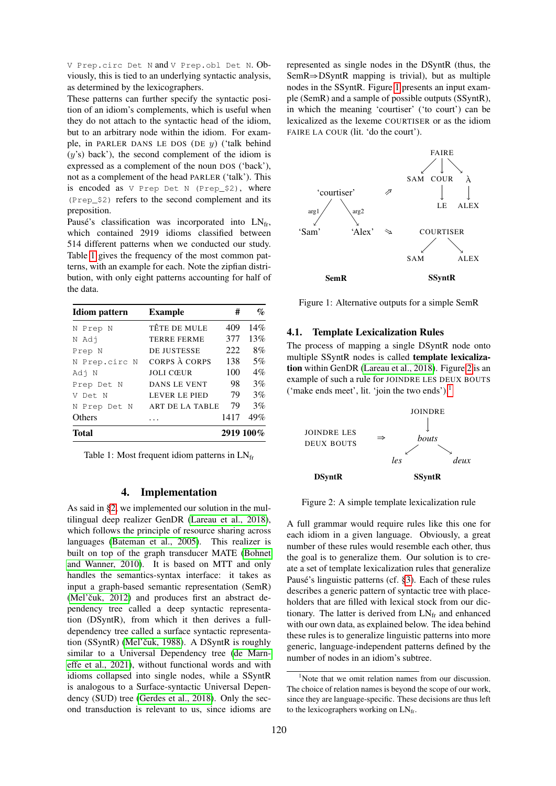V Prep.circ Det N and V Prep.obl Det N. Obviously, this is tied to an underlying syntactic analysis, as determined by the lexicographers.

These patterns can further specify the syntactic position of an idiom's complements, which is useful when they do not attach to the syntactic head of the idiom, but to an arbitrary node within the idiom. For example, in PARLER DANS LE DOS (DE  $y$ ) ('talk behind  $(y's)$  back'), the second complement of the idiom is expressed as a complement of the noun DOS ('back'), not as a complement of the head PARLER ('talk'). This is encoded as V Prep Det N (Prep\_\$2), where (Prep\_\$2) refers to the second complement and its preposition.

Pausé's classification was incorporated into  $LN_{fr}$ , which contained 2919 idioms classified between 514 different patterns when we conducted our study. Table [1](#page-2-1) gives the frequency of the most common patterns, with an example for each. Note the zipfian distribution, with only eight patterns accounting for half of the data.

| <b>Idiom</b> pattern | <b>Example</b>       | #    | $\mathcal{G}_{\mathcal{O}}$ |
|----------------------|----------------------|------|-----------------------------|
| N Prep N             | TÊTE DE MULE         | 409  | 14%                         |
| N Adj                | <b>TERRE FERME</b>   | 377  | 13%                         |
| Prep N               | <b>DE JUSTESSE</b>   | 222. | 8%                          |
| N Prep.circ N        | CORPS À CORPS        | 138  | 5%                          |
| Adj N                | <b>JOLI CŒUR</b>     | 100  | $4\%$                       |
| Prep Det N           | DANS LE VENT         | 98   | 3%                          |
| V Det N              | <b>LEVER LE PIED</b> | 79   | 3%                          |
| N Prep Det N         | ART DE LA TABLE      | 79   | 3%                          |
| Others               |                      | 1417 | 49%                         |
| Total                |                      |      | 2919 100%                   |

<span id="page-2-1"></span>Table 1: Most frequent idiom patterns in  $LN<sub>fr</sub>$ 

### 4. Implementation

<span id="page-2-0"></span>As said in [§2,](#page-1-0) we implemented our solution in the multilingual deep realizer GenDR [\(Lareau et al., 2018\)](#page-8-16), which follows the principle of resource sharing across languages [\(Bateman et al., 2005\)](#page-7-15). This realizer is built on top of the graph transducer MATE [\(Bohnet](#page-7-16) [and Wanner, 2010\)](#page-7-16). It is based on MTT and only handles the semantics-syntax interface: it takes as input a graph-based semantic representation (SemR)  $(Mel'čuk, 2012)$  and produces first an abstract dependency tree called a deep syntactic representation (DSyntR), from which it then derives a fulldependency tree called a surface syntactic representation (SSyntR) (Mel'čuk, 1988). A DSyntR is roughly similar to a Universal Dependency tree [\(de Marn](#page-7-17)[effe et al., 2021\)](#page-7-17), without functional words and with idioms collapsed into single nodes, while a SSyntR is analogous to a Surface-syntactic Universal Dependency (SUD) tree [\(Gerdes et al., 2018\)](#page-7-18). Only the second transduction is relevant to us, since idioms are

represented as single nodes in the DSyntR (thus, the SemR⇒DSyntR mapping is trivial), but as multiple nodes in the SSyntR. Figure [1](#page-2-2) presents an input example (SemR) and a sample of possible outputs (SSyntR), in which the meaning 'courtiser' ('to court') can be lexicalized as the lexeme COURTISER or as the idiom FAIRE LA COUR (lit. 'do the court').



<span id="page-2-2"></span>Figure 1: Alternative outputs for a simple SemR

# 4.1. Template Lexicalization Rules

The process of mapping a single DSyntR node onto multiple SSyntR nodes is called template lexicalization within GenDR [\(Lareau et al., 2018\)](#page-8-16). Figure [2](#page-2-3) is an example of such a rule for JOINDRE LES DEUX BOUTS ('make ends meet', lit. 'join the two ends'). $<sup>1</sup>$  $<sup>1</sup>$  $<sup>1</sup>$ </sup>



<span id="page-2-3"></span>Figure 2: A simple template lexicalization rule

A full grammar would require rules like this one for each idiom in a given language. Obviously, a great number of these rules would resemble each other, thus the goal is to generalize them. Our solution is to create a set of template lexicalization rules that generalize Pausé's linguistic patterns (cf. [§3\)](#page-1-1). Each of these rules describes a generic pattern of syntactic tree with placeholders that are filled with lexical stock from our dictionary. The latter is derived from  $LN_{fr}$  and enhanced with our own data, as explained below. The idea behind these rules is to generalize linguistic patterns into more generic, language-independent patterns defined by the number of nodes in an idiom's subtree.

<span id="page-2-4"></span><sup>&</sup>lt;sup>1</sup>Note that we omit relation names from our discussion. The choice of relation names is beyond the scope of our work, since they are language-specific. These decisions are thus left to the lexicographers working on  $LN<sub>fr</sub>$ .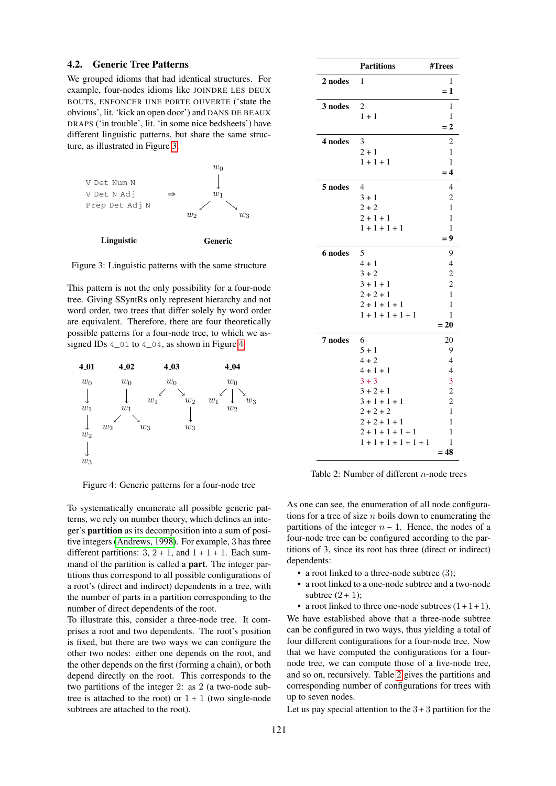#### 4.2. Generic Tree Patterns

We grouped idioms that had identical structures. For example, four-nodes idioms like JOINDRE LES DEUX BOUTS, ENFONCER UNE PORTE OUVERTE ('state the obvious', lit. 'kick an open door') and DANS DE BEAUX DRAPS ('in trouble', lit. 'in some nice bedsheets') have different linguistic patterns, but share the same structure, as illustrated in Figure [3.](#page-3-0)



<span id="page-3-0"></span>Figure 3: Linguistic patterns with the same structure

This pattern is not the only possibility for a four-node tree. Giving SSyntRs only represent hierarchy and not word order, two trees that differ solely by word order are equivalent. Therefore, there are four theoretically possible patterns for a four-node tree, to which we assigned IDs 4\_01 to 4\_04, as shown in Figure [4.](#page-3-1)



<span id="page-3-1"></span>Figure 4: Generic patterns for a four-node tree

To systematically enumerate all possible generic patterns, we rely on number theory, which defines an integer's partition as its decomposition into a sum of positive integers [\(Andrews, 1998\)](#page-7-19). For example, 3 has three different partitions:  $3, 2 + 1$ , and  $1 + 1 + 1$ . Each summand of the partition is called a part. The integer partitions thus correspond to all possible configurations of a root's (direct and indirect) dependents in a tree, with the number of parts in a partition corresponding to the number of direct dependents of the root.

To illustrate this, consider a three-node tree. It comprises a root and two dependents. The root's position is fixed, but there are two ways we can configure the other two nodes: either one depends on the root, and the other depends on the first (forming a chain), or both depend directly on the root. This corresponds to the two partitions of the integer 2: as 2 (a two-node subtree is attached to the root) or  $1 + 1$  (two single-node subtrees are attached to the root).

|         | <b>Partitions</b>                  | #Trees                   |
|---------|------------------------------------|--------------------------|
| 2 nodes | 1                                  | 1<br>$=1$                |
| 3 nodes | $\overline{\mathbf{c}}$<br>$1 + 1$ | 1<br>1                   |
|         |                                    | $= 2$                    |
| 4 nodes | 3                                  | $\overline{c}$           |
|         | $2 + 1$                            | 1                        |
|         | $1 + 1 + 1$                        | $\mathbf{1}$             |
|         |                                    | $=4$                     |
| 5 nodes | $\overline{4}$                     | $\overline{4}$           |
|         | $3 + 1$                            | $\overline{c}$           |
|         | $2 + 2$                            | $\mathbf{1}$             |
|         | $2 + 1 + 1$                        | 1                        |
|         | $1 + 1 + 1 + 1$                    | 1                        |
|         |                                    | $= 9$                    |
| 6 nodes | 5                                  | 9                        |
|         | $4 + 1$                            | $\overline{\mathcal{L}}$ |
|         | $3 + 2$                            | $\overline{\mathbf{c}}$  |
|         | $3 + 1 + 1$                        | $\overline{\mathbf{c}}$  |
|         | $2 + 2 + 1$                        | $\mathbf{1}$             |
|         | $2 + 1 + 1 + 1$                    | 1                        |
|         | $1 + 1 + 1 + 1 + 1$                | 1                        |
|         |                                    | $= 20$                   |
| 7 nodes | 6                                  | 20                       |
|         | $5 + 1$                            | 9                        |
|         | $4 + 2$                            | $\overline{4}$           |
|         | $4 + 1 + 1$                        | $\overline{4}$           |
|         | $3 + 3$                            | 3                        |
|         | $3 + 2 + 1$                        | $\frac{2}{2}$            |
|         | $3 + 1 + 1 + 1$                    | $\mathbf{1}$             |
|         | $2 + 2 + 2$<br>$2 + 2 + 1 + 1$     | 1                        |
|         | $2 + 1 + 1 + 1 + 1$                | 1                        |
|         | $1 + 1 + 1 + 1 + 1 + 1$            | 1                        |
|         |                                    | = 48                     |
|         |                                    |                          |

<span id="page-3-2"></span>Table 2: Number of different n-node trees

As one can see, the enumeration of all node configurations for a tree of size  $n$  boils down to enumerating the partitions of the integer  $n - 1$ . Hence, the nodes of a four-node tree can be configured according to the partitions of 3, since its root has three (direct or indirect) dependents:

- a root linked to a three-node subtree (3);
- a root linked to a one-node subtree and a two-node subtree  $(2 + 1)$ ;

• a root linked to three one-node subtrees  $(1+1+1)$ . We have established above that a three-node subtree can be configured in two ways, thus yielding a total of four different configurations for a four-node tree. Now that we have computed the configurations for a fournode tree, we can compute those of a five-node tree, and so on, recursively. Table [2](#page-3-2) gives the partitions and corresponding number of configurations for trees with up to seven nodes.

Let us pay special attention to the  $3+3$  partition for the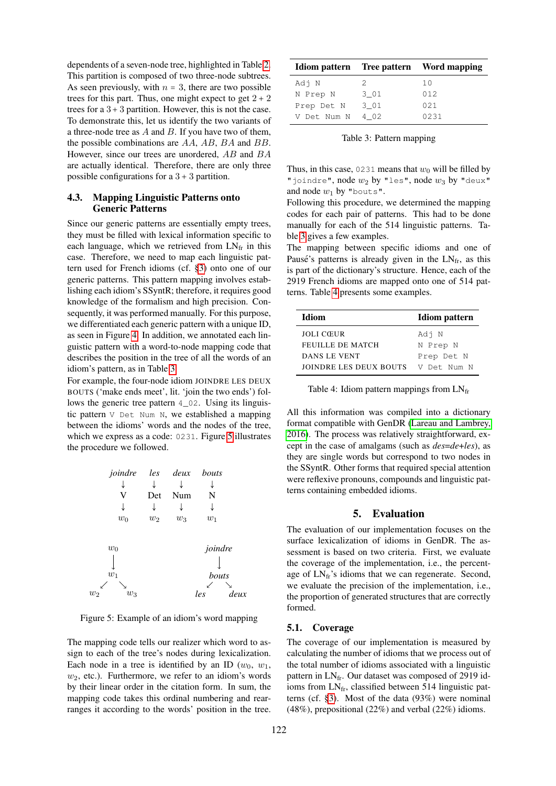dependents of a seven-node tree, highlighted in Table [2.](#page-3-2) This partition is composed of two three-node subtrees. As seen previously, with  $n = 3$ , there are two possible trees for this part. Thus, one might expect to get  $2 + 2$ trees for a  $3 + 3$  partition. However, this is not the case. To demonstrate this, let us identify the two variants of a three-node tree as  $A$  and  $B$ . If you have two of them, the possible combinations are AA, AB, BA and BB. However, since our trees are unordered, AB and BA are actually identical. Therefore, there are only three possible configurations for a  $3 + 3$  partition.

## 4.3. Mapping Linguistic Patterns onto Generic Patterns

Since our generic patterns are essentially empty trees, they must be filled with lexical information specific to each language, which we retrieved from  $LN<sub>fr</sub>$  in this case. Therefore, we need to map each linguistic pattern used for French idioms (cf. [§3\)](#page-1-1) onto one of our generic patterns. This pattern mapping involves establishing each idiom's SSyntR; therefore, it requires good knowledge of the formalism and high precision. Consequently, it was performed manually. For this purpose, we differentiated each generic pattern with a unique ID, as seen in Figure [4.](#page-3-1) In addition, we annotated each linguistic pattern with a word-to-node mapping code that describes the position in the tree of all the words of an idiom's pattern, as in Table [3.](#page-4-1)

For example, the four-node idiom JOINDRE LES DEUX BOUTS ('make ends meet', lit. 'join the two ends') follows the generic tree pattern 4\_02. Using its linguistic pattern V Det Num N, we established a mapping between the idioms' words and the nodes of the tree, which we express as a code: 0231. Figure [5](#page-4-2) illustrates the procedure we followed.



<span id="page-4-2"></span>Figure 5: Example of an idiom's word mapping

The mapping code tells our realizer which word to assign to each of the tree's nodes during lexicalization. Each node in a tree is identified by an ID  $(w_0, w_1,$  $w_2$ , etc.). Furthermore, we refer to an idiom's words by their linear order in the citation form. In sum, the mapping code takes this ordinal numbering and rearranges it according to the words' position in the tree.

|             |      | Idiom pattern Tree pattern Word mapping |
|-------------|------|-----------------------------------------|
| Adj N       | 2.   | 10                                      |
| N Prep N    | 3 01 | 012                                     |
| Prep Det N  | 3 01 | 02.1                                    |
| V Det Num N | 402  | 0231                                    |

<span id="page-4-1"></span>Table 3: Pattern mapping

Thus, in this case, 0231 means that  $w_0$  will be filled by "joindre", node  $w_2$  by "les", node  $w_3$  by "deux" and node  $w_1$  by "bouts".

Following this procedure, we determined the mapping codes for each pair of patterns. This had to be done manually for each of the 514 linguistic patterns. Table [3](#page-4-1) gives a few examples.

The mapping between specific idioms and one of Pausé's patterns is already given in the  $LN_{fr}$ , as this is part of the dictionary's structure. Hence, each of the 2919 French idioms are mapped onto one of 514 patterns. Table [4](#page-4-3) presents some examples.

| Idiom                  | <b>Idiom</b> pattern |  |
|------------------------|----------------------|--|
| <b>JOLI CŒUR</b>       | Adj N                |  |
| FEUILLE DE MATCH       | N Prep N             |  |
| DANS LE VENT           | Prep Det N           |  |
| JOINDRE LES DEUX BOUTS | V Det Num N          |  |

<span id="page-4-3"></span>Table 4: Idiom pattern mappings from  $LN<sub>fr</sub>$ 

All this information was compiled into a dictionary format compatible with GenDR [\(Lareau and Lambrey,](#page-8-28) [2016\)](#page-8-28). The process was relatively straightforward, except in the case of amalgams (such as *des*=*de*+*les*), as they are single words but correspond to two nodes in the SSyntR. Other forms that required special attention were reflexive pronouns, compounds and linguistic patterns containing embedded idioms.

## 5. Evaluation

<span id="page-4-0"></span>The evaluation of our implementation focuses on the surface lexicalization of idioms in GenDR. The assessment is based on two criteria. First, we evaluate the coverage of the implementation, i.e., the percentage of  $LN<sub>fr</sub>'s$  idioms that we can regenerate. Second, we evaluate the precision of the implementation, i.e., the proportion of generated structures that are correctly formed.

## 5.1. Coverage

The coverage of our implementation is measured by calculating the number of idioms that we process out of the total number of idioms associated with a linguistic pattern in  $LN<sub>fr</sub>$ . Our dataset was composed of 2919 idioms from LNfr, classified between 514 linguistic patterns (cf. [§3\)](#page-1-1). Most of the data (93%) were nominal (48%), prepositional (22%) and verbal (22%) idioms.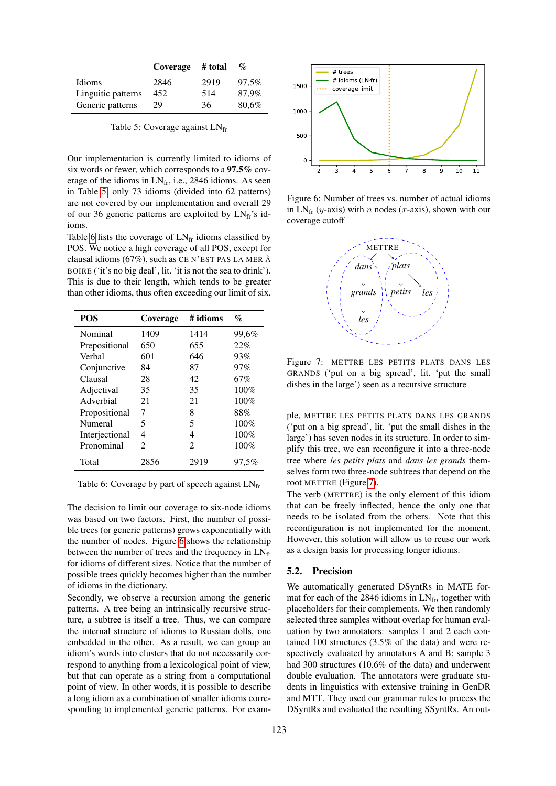|                    | Coverage | # total | $\%$  |
|--------------------|----------|---------|-------|
| Idioms             | 2846     | 2919    | 97.5% |
| Linguitic patterns | 452      | 514     | 87.9% |
| Generic patterns   | 29       | 36      | 80,6% |

<span id="page-5-0"></span>Table 5: Coverage against LNfr

Our implementation is currently limited to idioms of six words or fewer, which corresponds to a 97.5% coverage of the idioms in  $LN<sub>fr</sub>$ , i.e., 2846 idioms. As seen in Table [5,](#page-5-0) only 73 idioms (divided into 62 patterns) are not covered by our implementation and overall 29 of our 36 generic patterns are exploited by  $LN<sub>fr</sub>$ 's idioms.

Table [6](#page-5-1) lists the coverage of  $LN<sub>fr</sub>$  idioms classified by POS. We notice a high coverage of all POS, except for clausal idioms (67%), such as CE N'EST PAS LA MER A` BOIRE ('it's no big deal', lit. 'it is not the sea to drink'). This is due to their length, which tends to be greater than other idioms, thus often exceeding our limit of six.

| <b>POS</b>     | Coverage       | # idioms                    | $\mathcal{O}_0$ |
|----------------|----------------|-----------------------------|-----------------|
| Nominal        | 1409           | 1414                        | 99,6%           |
| Prepositional  | 650            | 655                         | 22%             |
| Verbal         | 601            | 646                         | 93%             |
| Conjunctive    | 84             | 87                          | 97%             |
| Clausal        | 28             | 42                          | 67%             |
| Adjectival     | 35             | 35                          | 100%            |
| Adverbial      | 21             | 21                          | 100%            |
| Propositional  | 7              | 8                           | 88%             |
| Numeral        | 5              | 5                           | 100%            |
| Interjectional | 4              | 4                           | 100%            |
| Pronominal     | $\mathfrak{D}$ | $\mathcal{D}_{\mathcal{L}}$ | 100%            |
| Total          | 2856           | 2919                        | 97.5%           |

<span id="page-5-1"></span>Table 6: Coverage by part of speech against  $LN_{fr}$ 

The decision to limit our coverage to six-node idioms was based on two factors. First, the number of possible trees (or generic patterns) grows exponentially with the number of nodes. Figure [6](#page-5-2) shows the relationship between the number of trees and the frequency in  $LN_{fr}$ for idioms of different sizes. Notice that the number of possible trees quickly becomes higher than the number of idioms in the dictionary.

Secondly, we observe a recursion among the generic patterns. A tree being an intrinsically recursive structure, a subtree is itself a tree. Thus, we can compare the internal structure of idioms to Russian dolls, one embedded in the other. As a result, we can group an idiom's words into clusters that do not necessarily correspond to anything from a lexicological point of view, but that can operate as a string from a computational point of view. In other words, it is possible to describe a long idiom as a combination of smaller idioms corresponding to implemented generic patterns. For exam-



<span id="page-5-2"></span>Figure 6: Number of trees vs. number of actual idioms in  $LN_{fr}$  (y-axis) with n nodes (x-axis), shown with our coverage cutoff



<span id="page-5-3"></span>Figure 7: METTRE LES PETITS PLATS DANS LES GRANDS ('put on a big spread', lit. 'put the small dishes in the large') seen as a recursive structure

ple, METTRE LES PETITS PLATS DANS LES GRANDS ('put on a big spread', lit. 'put the small dishes in the large') has seven nodes in its structure. In order to simplify this tree, we can reconfigure it into a three-node tree where *les petits plats* and *dans les grands* themselves form two three-node subtrees that depend on the root METTRE (Figure [7\)](#page-5-3).

The verb (METTRE) is the only element of this idiom that can be freely inflected, hence the only one that needs to be isolated from the others. Note that this reconfiguration is not implemented for the moment. However, this solution will allow us to reuse our work as a design basis for processing longer idioms.

# 5.2. Precision

We automatically generated DSyntRs in MATE format for each of the 2846 idioms in  $LN_{fr}$ , together with placeholders for their complements. We then randomly selected three samples without overlap for human evaluation by two annotators: samples 1 and 2 each contained 100 structures (3.5% of the data) and were respectively evaluated by annotators A and B; sample 3 had 300 structures (10.6% of the data) and underwent double evaluation. The annotators were graduate students in linguistics with extensive training in GenDR and MTT. They used our grammar rules to process the DSyntRs and evaluated the resulting SSyntRs. An out-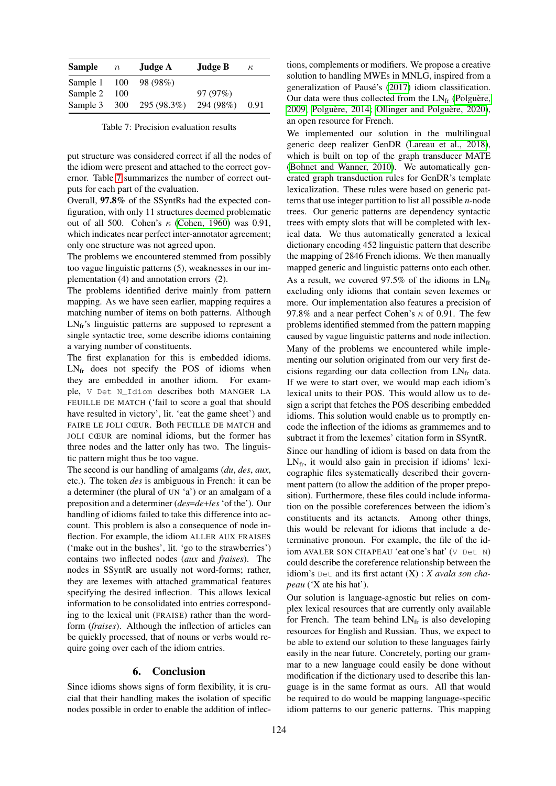| <b>Sample</b> | $\, n$ | Judge A         | Judge B   | $\kappa$ |
|---------------|--------|-----------------|-----------|----------|
| Sample 1      |        | $100 - 98(98%)$ |           |          |
| Sample 2      | 100    |                 | 97(97%)   |          |
| Sample 3      | 300    | 295 (98.3%)     | 294 (98%) | 0.91     |

<span id="page-6-1"></span>Table 7: Precision evaluation results

put structure was considered correct if all the nodes of the idiom were present and attached to the correct governor. Table [7](#page-6-1) summarizes the number of correct outputs for each part of the evaluation.

Overall, 97.8% of the SSyntRs had the expected configuration, with only 11 structures deemed problematic out of all 500. Cohen's  $\kappa$  [\(Cohen, 1960\)](#page-7-20) was 0.91, which indicates near perfect inter-annotator agreement; only one structure was not agreed upon.

The problems we encountered stemmed from possibly too vague linguistic patterns (5), weaknesses in our implementation (4) and annotation errors (2).

The problems identified derive mainly from pattern mapping. As we have seen earlier, mapping requires a matching number of items on both patterns. Although  $LN<sub>fr</sub>'s$  linguistic patterns are supposed to represent a single syntactic tree, some describe idioms containing a varying number of constituents.

The first explanation for this is embedded idioms.  $LN<sub>fr</sub>$  does not specify the POS of idioms when they are embedded in another idiom. For example, V Det N\_Idiom describes both MANGER LA FEUILLE DE MATCH ('fail to score a goal that should have resulted in victory', lit. 'eat the game sheet') and FAIRE LE JOLI CŒUR. Both FEUILLE DE MATCH and JOLI CŒUR are nominal idioms, but the former has three nodes and the latter only has two. The linguistic pattern might thus be too vague.

The second is our handling of amalgams (*du*, *des*, *aux*, etc.). The token *des* is ambiguous in French: it can be a determiner (the plural of UN 'a') or an amalgam of a preposition and a determiner (*des*=*de*+*les* 'of the'). Our handling of idioms failed to take this difference into account. This problem is also a consequence of node inflection. For example, the idiom ALLER AUX FRAISES ('make out in the bushes', lit. 'go to the strawberries') contains two inflected nodes (*aux* and *fraises*). The nodes in SSyntR are usually not word-forms; rather, they are lexemes with attached grammatical features specifying the desired inflection. This allows lexical information to be consolidated into entries corresponding to the lexical unit (FRAISE) rather than the wordform (*fraises*). Although the inflection of articles can be quickly processed, that of nouns or verbs would require going over each of the idiom entries.

# 6. Conclusion

<span id="page-6-0"></span>Since idioms shows signs of form flexibility, it is crucial that their handling makes the isolation of specific nodes possible in order to enable the addition of inflections, complements or modifiers. We propose a creative solution to handling MWEs in MNLG, inspired from a generalization of Pausé's [\(2017\)](#page-8-2) idiom classification. Our data were thus collected from the  $LN_{fr}$  (Polguère, [2009;](#page-8-17) Polguère, 2014; [Ollinger and Polgu](#page-8-19)ère, 2020), an open resource for French.

We implemented our solution in the multilingual generic deep realizer GenDR [\(Lareau et al., 2018\)](#page-8-16), which is built on top of the graph transducer MATE [\(Bohnet and Wanner, 2010\)](#page-7-16). We automatically generated graph transduction rules for GenDR's template lexicalization. These rules were based on generic patterns that use integer partition to list all possible *n*-node trees. Our generic patterns are dependency syntactic trees with empty slots that will be completed with lexical data. We thus automatically generated a lexical dictionary encoding 452 linguistic pattern that describe the mapping of 2846 French idioms. We then manually mapped generic and linguistic patterns onto each other.

As a result, we covered 97.5% of the idioms in  $LN_{fr}$ excluding only idioms that contain seven lexemes or more. Our implementation also features a precision of 97.8% and a near perfect Cohen's  $\kappa$  of 0.91. The few problems identified stemmed from the pattern mapping caused by vague linguistic patterns and node inflection.

Many of the problems we encountered while implementing our solution originated from our very first decisions regarding our data collection from  $LN<sub>fr</sub>$  data. If we were to start over, we would map each idiom's lexical units to their POS. This would allow us to design a script that fetches the POS describing embedded idioms. This solution would enable us to promptly encode the inflection of the idioms as grammemes and to subtract it from the lexemes' citation form in SSyntR.

Since our handling of idiom is based on data from the  $LN<sub>fr</sub>$ , it would also gain in precision if idioms' lexicographic files systematically described their government pattern (to allow the addition of the proper preposition). Furthermore, these files could include information on the possible coreferences between the idiom's constituents and its actancts. Among other things, this would be relevant for idioms that include a determinative pronoun. For example, the file of the idiom AVALER SON CHAPEAU 'eat one's hat' (V Det N) could describe the coreference relationship between the idiom's Det and its first actant (X) : *X avala son chapeau* ('X ate his hat').

Our solution is language-agnostic but relies on complex lexical resources that are currently only available for French. The team behind  $LN_{fr}$  is also developing resources for English and Russian. Thus, we expect to be able to extend our solution to these languages fairly easily in the near future. Concretely, porting our grammar to a new language could easily be done without modification if the dictionary used to describe this language is in the same format as ours. All that would be required to do would be mapping language-specific idiom patterns to our generic patterns. This mapping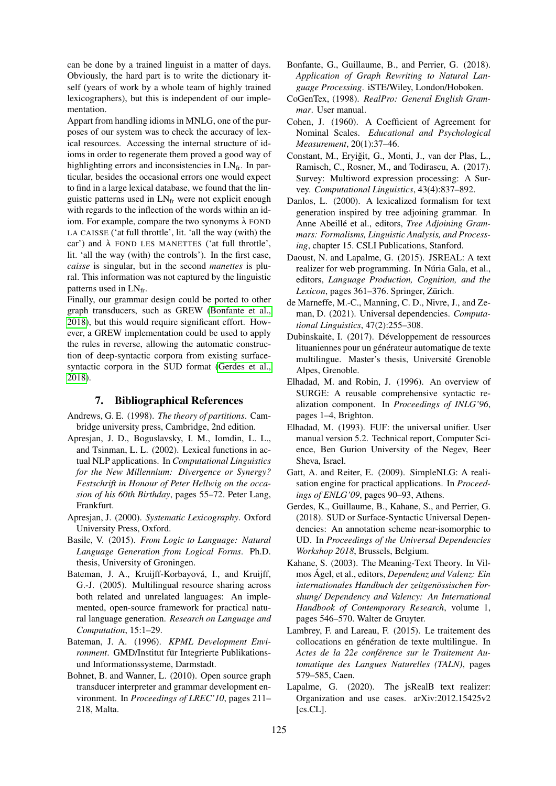can be done by a trained linguist in a matter of days. Obviously, the hard part is to write the dictionary itself (years of work by a whole team of highly trained lexicographers), but this is independent of our implementation.

Appart from handling idioms in MNLG, one of the purposes of our system was to check the accuracy of lexical resources. Accessing the internal structure of idioms in order to regenerate them proved a good way of highlighting errors and inconsistencies in LNfr. In particular, besides the occasional errors one would expect to find in a large lexical database, we found that the linguistic patterns used in  $LN<sub>fr</sub>$  were not explicit enough with regards to the inflection of the words within an idiom. For example, compare the two synonyms  $\lambda$  FOND LA CAISSE ('at full throttle', lit. 'all the way (with) the  $car'$ ) and  $\lambda$  FOND LES MANETTES ('at full throttle', lit. 'all the way (with) the controls'). In the first case, *caisse* is singular, but in the second *manettes* is plural. This information was not captured by the linguistic patterns used in  $LN_{fr}$ .

Finally, our grammar design could be ported to other graph transducers, such as GREW [\(Bonfante et al.,](#page-7-21) [2018\)](#page-7-21), but this would require significant effort. However, a GREW implementation could be used to apply the rules in reverse, allowing the automatic construction of deep-syntactic corpora from existing surfacesyntactic corpora in the SUD format [\(Gerdes et al.,](#page-7-18) [2018\)](#page-7-18).

### 7. Bibliographical References

- <span id="page-7-19"></span>Andrews, G. E. (1998). *The theory of partitions*. Cambridge university press, Cambridge, 2nd edition.
- <span id="page-7-14"></span>Apresjan, J. D., Boguslavsky, I. M., Iomdin, L. L., and Tsinman, L. L. (2002). Lexical functions in actual NLP applications. In *Computational Linguistics for the New Millennium: Divergence or Synergy? Festschrift in Honour of Peter Hellwig on the occasion of his 60th Birthday*, pages 55–72. Peter Lang, Frankfurt.
- <span id="page-7-12"></span>Apresjan, J. (2000). *Systematic Lexicography*. Oxford University Press, Oxford.
- <span id="page-7-10"></span>Basile, V. (2015). *From Logic to Language: Natural Language Generation from Logical Forms*. Ph.D. thesis, University of Groningen.
- <span id="page-7-15"></span>Bateman, J. A., Kruijff-Korbayová, I., and Kruijff, G.-J. (2005). Multilingual resource sharing across both related and unrelated languages: An implemented, open-source framework for practical natural language generation. *Research on Language and Computation*, 15:1–29.
- <span id="page-7-8"></span>Bateman, J. A. (1996). *KPML Development Environment*. GMD/Institut für Integrierte Publikationsund Informationssysteme, Darmstadt.
- <span id="page-7-16"></span>Bohnet, B. and Wanner, L. (2010). Open source graph transducer interpreter and grammar development environment. In *Proceedings of LREC'10*, pages 211– 218, Malta.
- <span id="page-7-21"></span>Bonfante, G., Guillaume, B., and Perrier, G. (2018). *Application of Graph Rewriting to Natural Language Processing*. iSTE/Wiley, London/Hoboken.
- <span id="page-7-4"></span>CoGenTex, (1998). *RealPro: General English Grammar*. User manual.
- <span id="page-7-20"></span>Cohen, J. (1960). A Coefficient of Agreement for Nominal Scales. *Educational and Psychological Measurement*, 20(1):37–46.
- <span id="page-7-0"></span>Constant, M., Eryiğit, G., Monti, J., van der Plas, L., Ramisch, C., Rosner, M., and Todirascu, A. (2017). Survey: Multiword expression processing: A Survey. *Computational Linguistics*, 43(4):837–892.
- <span id="page-7-9"></span>Danlos, L. (2000). A lexicalized formalism for text generation inspired by tree adjoining grammar. In Anne Abeillé et al., editors, *Tree Adjoining Grammars: Formalisms, Linguistic Analysis, and Processing*, chapter 15. CSLI Publications, Stanford.
- <span id="page-7-6"></span>Daoust, N. and Lapalme, G. (2015). JSREAL: A text realizer for web programming. In Núria Gala, et al., editors, *Language Production, Cognition, and the Lexicon*, pages 361–376. Springer, Zürich.
- <span id="page-7-17"></span>de Marneffe, M.-C., Manning, C. D., Nivre, J., and Zeman, D. (2021). Universal dependencies. *Computational Linguistics*, 47(2):255–308.
- <span id="page-7-1"></span>Dubinskaitė, I. (2017). Développement de ressources lituaniennes pour un générateur automatique de texte multilingue. Master's thesis, Université Grenoble Alpes, Grenoble.
- <span id="page-7-3"></span>Elhadad, M. and Robin, J. (1996). An overview of SURGE: A reusable comprehensive syntactic realization component. In *Proceedings of INLG'96*, pages 1–4, Brighton.
- <span id="page-7-2"></span>Elhadad, M. (1993). FUF: the universal unifier. User manual version 5.2. Technical report, Computer Science, Ben Gurion University of the Negev, Beer Sheva, Israel.
- <span id="page-7-5"></span>Gatt, A. and Reiter, E. (2009). SimpleNLG: A realisation engine for practical applications. In *Proceedings of ENLG'09*, pages 90–93, Athens.
- <span id="page-7-18"></span>Gerdes, K., Guillaume, B., Kahane, S., and Perrier, G. (2018). SUD or Surface-Syntactic Universal Dependencies: An annotation scheme near-isomorphic to UD. In *Proceedings of the Universal Dependencies Workshop 2018*, Brussels, Belgium.
- <span id="page-7-13"></span>Kahane, S. (2003). The Meaning-Text Theory. In Vilmos Agel, et al., editors, ´ *Dependenz und Valenz: Ein internationales Handbuch der zeitgenossischen For- ¨ shung/ Dependency and Valency: An International Handbook of Contemporary Research*, volume 1, pages 546–570. Walter de Gruyter.
- <span id="page-7-11"></span>Lambrey, F. and Lareau, F. (2015). Le traitement des collocations en génération de texte multilingue. In *Actes de la 22e conference sur le Traitement Au- ´ tomatique des Langues Naturelles (TALN)*, pages 579–585, Caen.
- <span id="page-7-7"></span>Lapalme, G. (2020). The jsRealB text realizer: Organization and use cases. arXiv:2012.15425v2 [cs.CL].